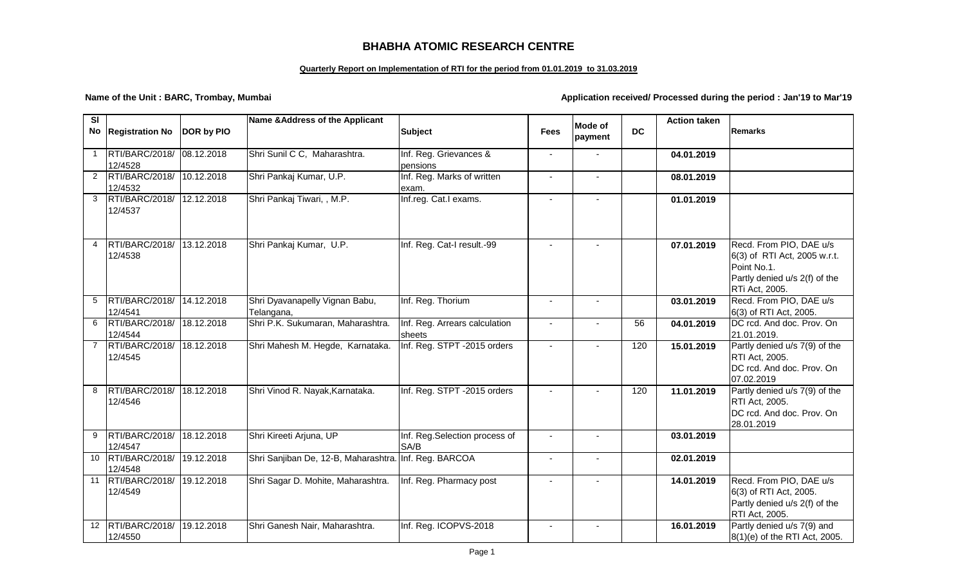## **BHABHA ATOMIC RESEARCH CENTRE**

## **Quarterly Report on Implementation of RTI for the period from 01.01.2019 to 31.03.2019**

**Name of the Unit : BARC, Trombay, Mumbai Application received/ Processed during the period : Jan'19 to Mar'19** 

| SI |                              |            | Name & Address of the Applicant              |                                         |                |                           |                 | <b>Action taken</b> |                                                                                                                           |
|----|------------------------------|------------|----------------------------------------------|-----------------------------------------|----------------|---------------------------|-----------------|---------------------|---------------------------------------------------------------------------------------------------------------------------|
|    | No Registration No           | DOR by PIO |                                              | <b>Subject</b>                          | <b>Fees</b>    | <b>Mode of</b><br>payment | <b>DC</b>       |                     | <b>Remarks</b>                                                                                                            |
| 1  | RTI/BARC/2018/<br>12/4528    | 08.12.2018 | Shri Sunil C C, Maharashtra.                 | Inf. Reg. Grievances &<br>pensions      | $\blacksquare$ |                           |                 | 04.01.2019          |                                                                                                                           |
| 2  | RTI/BARC/2018/<br>12/4532    | 10.12.2018 | Shri Pankaj Kumar, U.P.                      | Inf. Reg. Marks of written<br>exam.     | $\blacksquare$ | $\sim$                    |                 | 08.01.2019          |                                                                                                                           |
| 3  | RTI/BARC/2018/<br>12/4537    | 12.12.2018 | Shri Pankaj Tiwari, , M.P.                   | Inf.reg. Cat.I exams.                   |                |                           |                 | 01.01.2019          |                                                                                                                           |
| 4  | RTI/BARC/2018/<br>12/4538    | 13.12.2018 | Shri Pankaj Kumar, U.P.                      | Inf. Reg. Cat-I result.-99              |                |                           |                 | 07.01.2019          | Recd. From PIO, DAE u/s<br>6(3) of RTI Act, 2005 w.r.t.<br>Point No.1.<br>Partly denied u/s 2(f) of the<br>RTi Act, 2005. |
| 5  | RTI/BARC/2018/<br>12/4541    | 14.12.2018 | Shri Dyavanapelly Vignan Babu,<br>Telangana, | Inf. Reg. Thorium                       | $\blacksquare$ |                           |                 | 03.01.2019          | Recd. From PIO, DAE u/s<br>6(3) of RTI Act, 2005.                                                                         |
| 6  | RTI/BARC/2018/<br>12/4544    | 18.12.2018 | Shri P.K. Sukumaran, Maharashtra.            | Inf. Reg. Arrears calculation<br>sheets | $\blacksquare$ |                           | $\overline{56}$ | 04.01.2019          | DC rcd. And doc. Prov. On<br>21.01.2019.                                                                                  |
|    | RTI/BARC/2018/<br>12/4545    | 18.12.2018 | Shri Mahesh M. Hegde, Karnataka.             | Inf. Reg. STPT -2015 orders             | $\blacksquare$ |                           | 120             | 15.01.2019          | Partly denied u/s 7(9) of the<br>RTI Act, 2005.<br>DC rcd. And doc. Prov. On<br>07.02.2019                                |
| 8  | RTI/BARC/2018/<br>12/4546    | 18.12.2018 | Shri Vinod R. Nayak, Karnataka.              | Inf. Reg. STPT -2015 orders             | $\blacksquare$ |                           | 120             | 11.01.2019          | Partly denied u/s 7(9) of the<br>RTI Act, 2005.<br>DC rcd. And doc. Prov. On<br>28.01.2019                                |
| 9  | RTI/BARC/2018/<br>12/4547    | 18.12.2018 | Shri Kireeti Arjuna, UP                      | Inf. Reg.Selection process of<br>SA/B   | $\blacksquare$ |                           |                 | 03.01.2019          |                                                                                                                           |
| 10 | RTI/BARC/2018/<br>12/4548    | 19.12.2018 | Shri Sanjiban De, 12-B, Maharashtra.         | Inf. Reg. BARCOA                        | $\blacksquare$ |                           |                 | 02.01.2019          |                                                                                                                           |
|    | 11 RTI/BARC/2018/<br>12/4549 | 19.12.2018 | Shri Sagar D. Mohite, Maharashtra.           | Inf. Reg. Pharmacy post                 |                |                           |                 | 14.01.2019          | Recd. From PIO, DAE u/s<br>6(3) of RTI Act, 2005.<br>Partly denied u/s 2(f) of the<br>RTI Act, 2005.                      |
| 12 | RTI/BARC/2018/<br>12/4550    | 19.12.2018 | Shri Ganesh Nair, Maharashtra.               | Inf. Reg. ICOPVS-2018                   | $\blacksquare$ |                           |                 | 16.01.2019          | Partly denied u/s 7(9) and<br>8(1)(e) of the RTI Act, 2005.                                                               |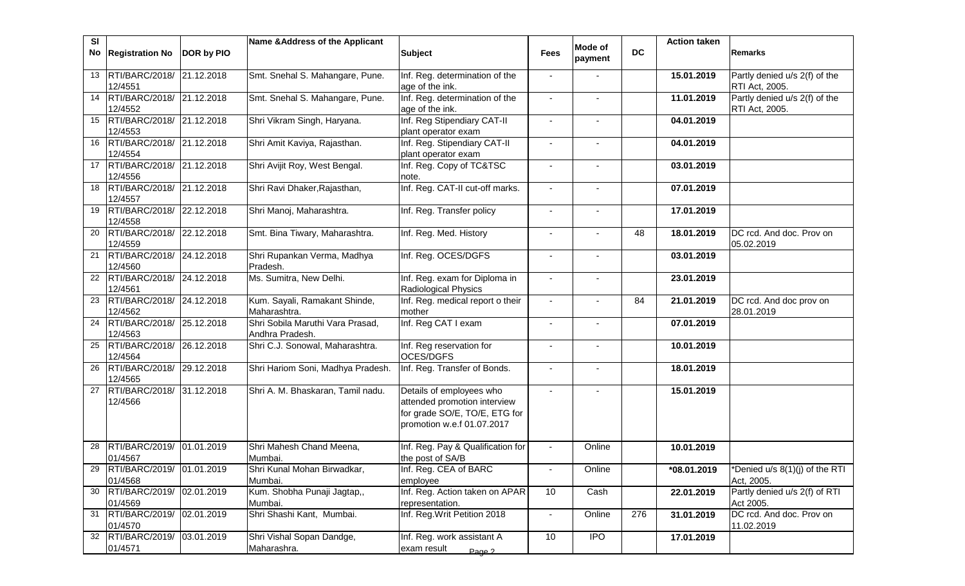| <b>SI</b> | No Registration No                      | DOR by PIO          | Name & Address of the Applicant                     | <b>Subject</b>                                                                                                          | <b>Fees</b>              | <b>Mode of</b><br>payment | <b>DC</b> | <b>Action taken</b> | <b>Remarks</b>                                  |
|-----------|-----------------------------------------|---------------------|-----------------------------------------------------|-------------------------------------------------------------------------------------------------------------------------|--------------------------|---------------------------|-----------|---------------------|-------------------------------------------------|
|           | 13 RTI/BARC/2018/ 21.12.2018<br>12/4551 |                     | Smt. Snehal S. Mahangare, Pune.                     | Inf. Reg. determination of the<br>age of the ink.                                                                       | $\blacksquare$           |                           |           | 15.01.2019          | Partly denied u/s 2(f) of the<br>RTI Act, 2005. |
|           | 14 RTI/BARC/2018/<br>12/4552            | 21.12.2018          | Smt. Snehal S. Mahangare, Pune.                     | Inf. Reg. determination of the<br>age of the ink.                                                                       |                          |                           |           | 11.01.2019          | Partly denied u/s 2(f) of the<br>RTI Act, 2005. |
|           | 15 RTI/BARC/2018/<br>12/4553            | 21.12.2018          | Shri Vikram Singh, Haryana.                         | Inf. Reg Stipendiary CAT-II<br>plant operator exam                                                                      |                          |                           |           | 04.01.2019          |                                                 |
| 16        | RTI/BARC/2018/<br>12/4554               | 21.12.2018          | Shri Amit Kaviya, Rajasthan.                        | Inf. Reg. Stipendiary CAT-II<br>plant operator exam                                                                     | $\overline{\phantom{a}}$ |                           |           | 04.01.2019          |                                                 |
|           | 17 RTI/BARC/2018/<br>12/4556            | 21.12.2018          | Shri Avijit Roy, West Bengal.                       | Inf. Reg. Copy of TC&TSC<br>note.                                                                                       | $\sim$                   |                           |           | 03.01.2019          |                                                 |
| 18        | RTI/BARC/2018/<br>12/4557               | 21.12.2018          | Shri Ravi Dhaker, Rajasthan,                        | Inf. Reg. CAT-II cut-off marks.                                                                                         | $\sim$                   |                           |           | 07.01.2019          |                                                 |
|           | 19 RTI/BARC/2018/<br>12/4558            | 22.12.2018          | Shri Manoj, Maharashtra.                            | Inf. Reg. Transfer policy                                                                                               | $\blacksquare$           |                           |           | 17.01.2019          |                                                 |
|           | 20 RTI/BARC/2018/<br>12/4559            | 22.12.2018          | Smt. Bina Tiwary, Maharashtra.                      | Inf. Reg. Med. History                                                                                                  | $\blacksquare$           |                           | 48        | 18.01.2019          | DC rcd. And doc. Prov on<br>05.02.2019          |
|           | 21 RTI/BARC/2018/<br>12/4560            | 24.12.2018          | Shri Rupankan Verma, Madhya<br>Pradesh.             | Inf. Reg. OCES/DGFS                                                                                                     | $\blacksquare$           |                           |           | 03.01.2019          |                                                 |
| 22        | RTI/BARC/2018/<br>12/4561               | 24.12.2018          | Ms. Sumitra, New Delhi.                             | Inf. Reg. exam for Diploma in<br><b>Radiological Physics</b>                                                            | $\blacksquare$           | $\blacksquare$            |           | 23.01.2019          |                                                 |
| 23        | RTI/BARC/2018/<br>12/4562               | 24.12.2018          | Kum. Sayali, Ramakant Shinde,<br>Maharashtra.       | Inf. Reg. medical report o their<br>mother                                                                              | $\sim$                   |                           | 84        | 21.01.2019          | DC rcd. And doc prov on<br>28.01.2019           |
|           | 24   RTI/BARC/2018/<br>12/4563          | 25.12.2018          | Shri Sobila Maruthi Vara Prasad,<br>Andhra Pradesh. | Inf. Reg CAT I exam                                                                                                     |                          |                           |           | 07.01.2019          |                                                 |
| 25        | RTI/BARC/2018/<br>12/4564               | 26.12.2018          | Shri C.J. Sonowal, Maharashtra.                     | Inf. Reg reservation for<br>OCES/DGFS                                                                                   |                          |                           |           | 10.01.2019          |                                                 |
| 26        | RTI/BARC/2018/<br>12/4565               | $\sqrt{29.12.2018}$ | Shri Hariom Soni, Madhya Pradesh.                   | Inf. Reg. Transfer of Bonds.                                                                                            |                          |                           |           | 18.01.2019          |                                                 |
|           | 27 RTI/BARC/2018/<br>12/4566            | 31.12.2018          | Shri A. M. Bhaskaran, Tamil nadu.                   | Details of employees who<br>attended promotion interview<br>for grade SO/E, TO/E, ETG for<br>promotion w.e.f 01.07.2017 |                          |                           |           | 15.01.2019          |                                                 |
| 28        | <b>RTI/BARC/2019/</b><br>01/4567        | 01.01.2019          | Shri Mahesh Chand Meena,<br>Mumbai.                 | Inf. Reg. Pay & Qualification for<br>the post of SA/B                                                                   |                          | Online                    |           | 10.01.2019          |                                                 |
| 29        | RTI/BARC/2019/ 01.01.2019<br>01/4568    |                     | Shri Kunal Mohan Birwadkar,<br>Mumbai.              | Inf. Reg. CEA of BARC<br>employee                                                                                       | $\overline{\phantom{a}}$ | Online                    |           | *08.01.2019         | *Denied u/s 8(1)(j) of the RTI<br>Act, 2005.    |
|           | 30 RTI/BARC/2019/<br>01/4569            | 02.01.2019          | Kum. Shobha Punaji Jagtap,,<br>Mumbai.              | Inf. Reg. Action taken on APAR<br>representation.                                                                       | 10                       | Cash                      |           | 22.01.2019          | Partly denied u/s 2(f) of RTI<br>Act 2005.      |
|           | 31 RTI/BARC/2019/<br>01/4570            | 02.01.2019          | Shri Shashi Kant, Mumbai.                           | Inf. Reg. Writ Petition 2018                                                                                            | $\blacksquare$           | Online                    | 276       | 31.01.2019          | DC rcd. And doc. Prov on<br>11.02.2019          |
|           | 32 RTI/BARC/2019/<br>01/4571            | 03.01.2019          | Shri Vishal Sopan Dandge,<br>Maharashra.            | Inf. Reg. work assistant A<br>exam result<br>Page 2                                                                     | 10                       | <b>IPO</b>                |           | 17.01.2019          |                                                 |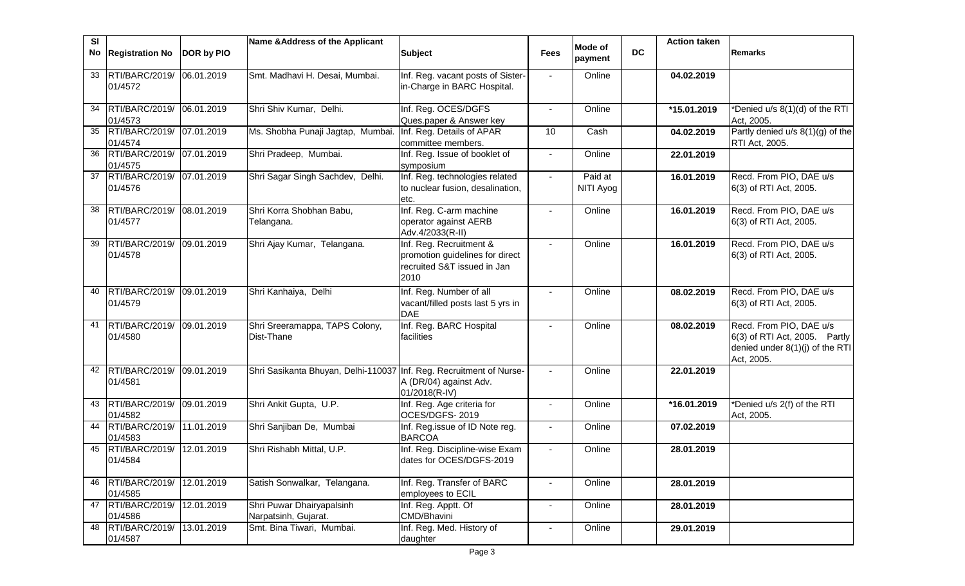| <b>SI</b> |                                         |            | Name & Address of the Applicant                                     |                                                                                                   |                | Mode of              |           | <b>Action taken</b> |                                                                                                           |
|-----------|-----------------------------------------|------------|---------------------------------------------------------------------|---------------------------------------------------------------------------------------------------|----------------|----------------------|-----------|---------------------|-----------------------------------------------------------------------------------------------------------|
| No        | <b>Registration No</b>                  | DOR by PIO |                                                                     | <b>Subject</b>                                                                                    | <b>Fees</b>    | payment              | <b>DC</b> |                     | Remarks                                                                                                   |
| 33        | RTI/BARC/2019/ 06.01.2019<br>01/4572    |            | Smt. Madhavi H. Desai, Mumbai.                                      | Inf. Reg. vacant posts of Sister-<br>in-Charge in BARC Hospital.                                  |                | Online               |           | 04.02.2019          |                                                                                                           |
| 34        | RTI/BARC/2019/ 06.01.2019<br>01/4573    |            | Shri Shiv Kumar, Delhi.                                             | Inf. Reg. OCES/DGFS<br>Ques.paper & Answer key                                                    |                | Online               |           | *15.01.2019         | *Denied u/s 8(1)(d) of the RTI<br>Act, 2005.                                                              |
| 35        | RTI/BARC/2019/<br>01/4574               | 07.01.2019 | Ms. Shobha Punaji Jagtap, Mumbai.                                   | Inf. Reg. Details of APAR<br>committee members.                                                   | 10             | Cash                 |           | 04.02.2019          | Partly denied u/s 8(1)(g) of the<br>RTI Act, 2005.                                                        |
| 36        | RTI/BARC/2019/ 07.01.2019<br>01/4575    |            | Shri Pradeep, Mumbai.                                               | Inf. Reg. Issue of booklet of<br>symposium                                                        |                | Online               |           | 22.01.2019          |                                                                                                           |
|           | 37 RTI/BARC/2019/ 07.01.2019<br>01/4576 |            | Shri Sagar Singh Sachdev, Delhi.                                    | Inf. Reg. technologies related<br>to nuclear fusion, desalination,<br>etc.                        | $\blacksquare$ | Paid at<br>NITI Ayog |           | 16.01.2019          | Recd. From PIO, DAE u/s<br>6(3) of RTI Act, 2005.                                                         |
| 38        | RTI/BARC/2019/<br>01/4577               | 08.01.2019 | Shri Korra Shobhan Babu,<br>Telangana.                              | Inf. Reg. C-arm machine<br>operator against AERB<br>Adv.4/2033(R-II)                              | $\blacksquare$ | Online               |           | 16.01.2019          | Recd. From PIO, DAE u/s<br>6(3) of RTI Act, 2005.                                                         |
| 39        | RTI/BARC/2019/<br>01/4578               | 09.01.2019 | Shri Ajay Kumar, Telangana.                                         | Inf. Reg. Recruitment &<br>promotion guidelines for direct<br>recruited S&T issued in Jan<br>2010 |                | Online               |           | 16.01.2019          | Recd. From PIO, DAE u/s<br>6(3) of RTI Act, 2005.                                                         |
| 40        | RTI/BARC/2019/ 09.01.2019<br>01/4579    |            | Shri Kanhaiya, Delhi                                                | Inf. Reg. Number of all<br>vacant/filled posts last 5 yrs in<br><b>DAE</b>                        |                | Online               |           | 08.02.2019          | Recd. From PIO, DAE u/s<br>6(3) of RTI Act, 2005.                                                         |
| 41        | RTI/BARC/2019/ 09.01.2019<br>01/4580    |            | Shri Sreeramappa, TAPS Colony,<br>Dist-Thane                        | Inf. Reg. BARC Hospital<br>facilities                                                             |                | Online               |           | 08.02.2019          | Recd. From PIO, DAE u/s<br>6(3) of RTI Act, 2005. Partly<br>denied under 8(1)(j) of the RTI<br>Act, 2005. |
| 42        | RTI/BARC/2019/<br>01/4581               | 09.01.2019 | Shri Sasikanta Bhuyan, Delhi-110037 Inf. Reg. Recruitment of Nurse- | A (DR/04) against Adv.<br>01/2018(R-IV)                                                           |                | Online               |           | 22.01.2019          |                                                                                                           |
| 43        | RTI/BARC/2019/<br>01/4582               | 09.01.2019 | Shri Ankit Gupta, U.P.                                              | Inf. Reg. Age criteria for<br>OCES/DGFS-2019                                                      | $\blacksquare$ | Online               |           | *16.01.2019         | *Denied u/s 2(f) of the RTI<br>Act, 2005.                                                                 |
|           | 44 RTI/BARC/2019/<br>01/4583            | 11.01.2019 | Shri Sanjiban De, Mumbai                                            | Inf. Reg.issue of ID Note reg.<br><b>BARCOA</b>                                                   | $\blacksquare$ | Online               |           | 07.02.2019          |                                                                                                           |
| 45        | RTI/BARC/2019/<br>01/4584               | 12.01.2019 | Shri Rishabh Mittal, U.P.                                           | Inf. Reg. Discipline-wise Exam<br>dates for OCES/DGFS-2019                                        |                | Online               |           | 28.01.2019          |                                                                                                           |
|           | 46 RTI/BARC/2019/<br>01/4585            | 12.01.2019 | Satish Sonwalkar, Telangana.                                        | Inf. Reg. Transfer of BARC<br>employees to ECIL                                                   |                | Online               |           | 28.01.2019          |                                                                                                           |
|           | 47 RTI/BARC/2019/<br>01/4586            | 12.01.2019 | Shri Puwar Dhairyapalsinh<br>Narpatsinh, Gujarat.                   | Inf. Reg. Apptt. Of<br>CMD/Bhavini                                                                |                | Online               |           | 28.01.2019          |                                                                                                           |
| 48        | RTI/BARC/2019/<br>01/4587               | 13.01.2019 | Smt. Bina Tiwari, Mumbai.                                           | Inf. Reg. Med. History of<br>daughter                                                             |                | Online               |           | 29.01.2019          |                                                                                                           |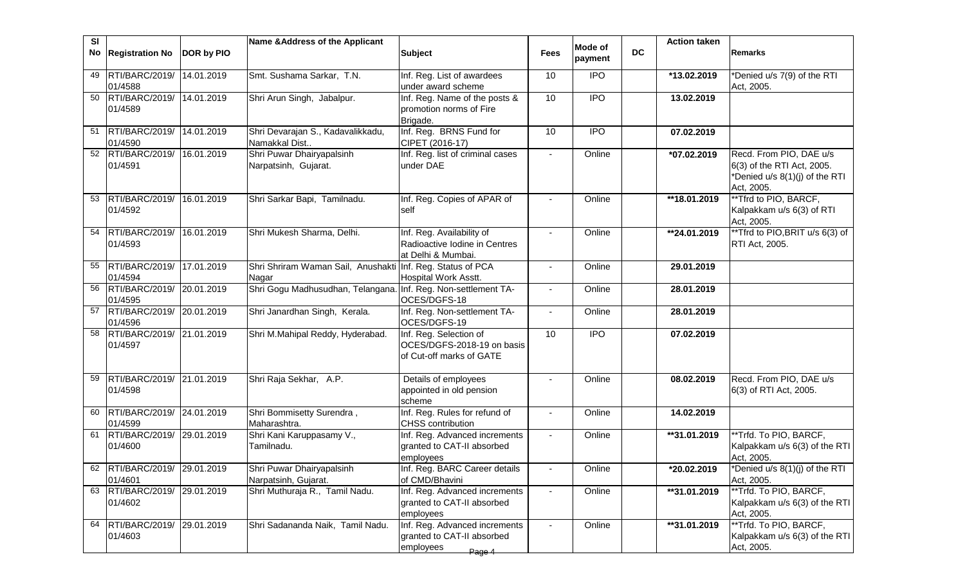| <b>SI</b> | No Registration No                        | DOR by PIO | Name & Address of the Applicant                    | <b>Subject</b>                                                                     | <b>Fees</b>    | <b>Mode of</b><br>payment | <b>DC</b> | <b>Action taken</b> | Remarks                                                                                               |
|-----------|-------------------------------------------|------------|----------------------------------------------------|------------------------------------------------------------------------------------|----------------|---------------------------|-----------|---------------------|-------------------------------------------------------------------------------------------------------|
| 49        | RTI/BARC/2019/<br>01/4588                 | 14.01.2019 | Smt. Sushama Sarkar, T.N.                          | Inf. Reg. List of awardees<br>under award scheme                                   | 10             | <b>IPO</b>                |           | *13.02.2019         | *Denied u/s 7(9) of the RTI<br>Act, 2005.                                                             |
| 50        | RTI/BARC/2019/<br>01/4589                 | 14.01.2019 | Shri Arun Singh, Jabalpur.                         | Inf. Reg. Name of the posts &<br>promotion norms of Fire<br>Brigade.               | 10             | $\overline{1}$            |           | 13.02.2019          |                                                                                                       |
|           | 51 RTI/BARC/2019/<br>01/4590              | 14.01.2019 | Shri Devarajan S., Kadavalikkadu,<br>Namakkal Dist | Inf. Reg. BRNS Fund for<br>CIPET (2016-17)                                         | 10             | <b>IPO</b>                |           | 07.02.2019          |                                                                                                       |
|           | 52 RTI/BARC/2019/<br>01/4591              | 16.01.2019 | Shri Puwar Dhairyapalsinh<br>Narpatsinh, Gujarat.  | Inf. Reg. list of criminal cases<br>under DAE                                      | $\blacksquare$ | Online                    |           | $*07.02.2019$       | Recd. From PIO, DAE u/s<br>6(3) of the RTI Act, 2005.<br>*Denied u/s 8(1)(j) of the RTI<br>Act, 2005. |
| 53        | RTI/BARC/2019/<br>01/4592                 | 16.01.2019 | Shri Sarkar Bapi, Tamilnadu.                       | Inf. Reg. Copies of APAR of<br>self                                                |                | Online                    |           | **18.01.2019        | **Tfrd to PIO, BARCF,<br>Kalpakkam u/s 6(3) of RTI<br>Act, 2005.                                      |
|           | 54 RTI/BARC/2019/<br>01/4593              | 16.01.2019 | Shri Mukesh Sharma, Delhi.                         | Inf. Reg. Availability of<br>Radioactive Iodine in Centres<br>at Delhi & Mumbai.   |                | Online                    |           | **24.01.2019        | **Tfrd to PIO, BRIT u/s 6(3) of<br>RTI Act, 2005.                                                     |
| 55        | RTI/BARC/2019/<br>01/4594                 | 17.01.2019 | Shri Shriram Waman Sail, Anushakti<br>Nagar        | Inf. Reg. Status of PCA<br>Hospital Work Asstt.                                    |                | Online                    |           | 29.01.2019          |                                                                                                       |
|           | 56 RTI/BARC/2019/ 20.01.2019<br>01/4595   |            | Shri Gogu Madhusudhan, Telangana.                  | Inf. Reg. Non-settlement TA-<br>OCES/DGFS-18                                       |                | Online                    |           | 28.01.2019          |                                                                                                       |
|           | 57 RTI/BARC/2019/<br>01/4596              | 20.01.2019 | Shri Janardhan Singh, Kerala.                      | Inf. Reg. Non-settlement TA-<br>OCES/DGFS-19                                       |                | Online                    |           | 28.01.2019          |                                                                                                       |
|           | 58 RTI/BARC/2019/ 21.01.2019<br>01/4597   |            | Shri M.Mahipal Reddy, Hyderabad.                   | Inf. Reg. Selection of<br>OCES/DGFS-2018-19 on basis<br>of Cut-off marks of GATE   | 10             | <b>IPO</b>                |           | 07.02.2019          |                                                                                                       |
| 59        | RTI/BARC/2019/ 21.01.2019<br>01/4598      |            | Shri Raja Sekhar, A.P.                             | Details of employees<br>appointed in old pension<br>scheme                         |                | Online                    |           | 08.02.2019          | Recd. From PIO, DAE u/s<br>6(3) of RTI Act, 2005.                                                     |
| 60        | RTI/BARC/2019/ 24.01.2019<br>01/4599      |            | Shri Bommisetty Surendra,<br>Maharashtra.          | Inf. Reg. Rules for refund of<br><b>CHSS</b> contribution                          | $\blacksquare$ | Online                    |           | 14.02.2019          |                                                                                                       |
|           | 61 RTI/BARC/2019/ 29.01.2019<br>01/4600   |            | Shri Kani Karuppasamy V.,<br>Tamilnadu.            | Inf. Reg. Advanced increments<br>granted to CAT-II absorbed<br>employees           | $\blacksquare$ | Online                    |           | **31.01.2019        | **Trfd. To PIO, BARCF,<br>Kalpakkam u/s 6(3) of the RTI<br>Act, 2005.                                 |
|           | RTI/BARC/2019/ 29.01.2019<br>01/4601      |            | Shri Puwar Dhairyapalsinh<br>Narpatsinh, Gujarat.  | Inf. Reg. BARC Career details<br>of CMD/Bhavini                                    |                | Online                    |           | *20.02.2019         | *Denied u/s 8(1)(j) of the RTI<br>Act, 2005.                                                          |
|           | 63 RTI/BARC/2019/ 29.01.2019<br>01/4602   |            | Shri Muthuraja R., Tamil Nadu.                     | Inf. Reg. Advanced increments<br>granted to CAT-II absorbed<br>employees           |                | Online                    |           | **31.01.2019        | **Trfd. To PIO, BARCF,<br>Kalpakkam u/s 6(3) of the RTI<br>Act, 2005.                                 |
|           | 64   RTI/BARC/2019/ 29.01.2019<br>01/4603 |            | Shri Sadananda Naik, Tamil Nadu.                   | Inf. Reg. Advanced increments<br>granted to CAT-II absorbed<br>employees<br>Page 4 |                | Online                    |           | **31.01.2019        | **Trfd. To PIO, BARCF,<br>Kalpakkam u/s 6(3) of the RTI<br>Act, 2005.                                 |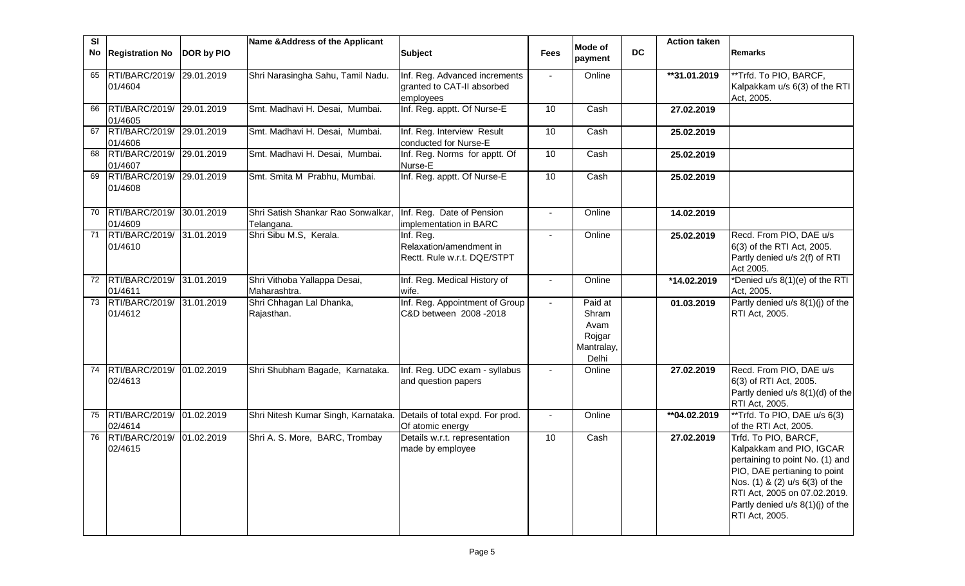| SI | No Registration No                      | <b>DOR by PIO</b> | Name & Address of the Applicant                  | <b>Subject</b>                                                           | <b>Fees</b>    | Mode of                                                   | <b>DC</b> | <b>Action taken</b> | <b>Remarks</b>                                                                                                                                                                                                                              |
|----|-----------------------------------------|-------------------|--------------------------------------------------|--------------------------------------------------------------------------|----------------|-----------------------------------------------------------|-----------|---------------------|---------------------------------------------------------------------------------------------------------------------------------------------------------------------------------------------------------------------------------------------|
|    |                                         |                   |                                                  |                                                                          |                | payment                                                   |           |                     |                                                                                                                                                                                                                                             |
| 65 | RTI/BARC/2019/ 29.01.2019<br>01/4604    |                   | Shri Narasingha Sahu, Tamil Nadu.                | Inf. Reg. Advanced increments<br>granted to CAT-II absorbed<br>employees | $\blacksquare$ | Online                                                    |           | **31.01.2019        | **Trfd. To PIO, BARCF,<br>Kalpakkam u/s 6(3) of the RTI<br>Act, 2005.                                                                                                                                                                       |
| 66 | RTI/BARC/2019/ 29.01.2019<br>01/4605    |                   | Smt. Madhavi H. Desai, Mumbai.                   | Inf. Reg. apptt. Of Nurse-E                                              | 10             | Cash                                                      |           | 27.02.2019          |                                                                                                                                                                                                                                             |
| 67 | RTI/BARC/2019/<br>01/4606               | 29.01.2019        | Smt. Madhavi H. Desai, Mumbai.                   | Inf. Reg. Interview Result<br>conducted for Nurse-E                      | 10             | Cash                                                      |           | 25.02.2019          |                                                                                                                                                                                                                                             |
| 68 | RTI/BARC/2019/ 29.01.2019<br>01/4607    |                   | Smt. Madhavi H. Desai, Mumbai.                   | Inf. Reg. Norms for apptt. Of<br>Nurse-E                                 | 10             | Cash                                                      |           | 25.02.2019          |                                                                                                                                                                                                                                             |
| 69 | RTI/BARC/2019/<br>01/4608               | 29.01.2019        | Smt. Smita M Prabhu, Mumbai.                     | Inf. Reg. apptt. Of Nurse-E                                              | 10             | Cash                                                      |           | 25.02.2019          |                                                                                                                                                                                                                                             |
| 70 | RTI/BARC/2019/ 30.01.2019<br>01/4609    |                   | Shri Satish Shankar Rao Sonwalkar,<br>Telangana. | Inf. Reg. Date of Pension<br>implementation in BARC                      | $\mathbf{r}$   | Online                                                    |           | 14.02.2019          |                                                                                                                                                                                                                                             |
| 71 | RTI/BARC/2019/ 31.01.2019<br>01/4610    |                   | Shri Sibu M.S, Kerala.                           | Inf. Reg.<br>Relaxation/amendment in<br>Rectt. Rule w.r.t. DQE/STPT      | $\blacksquare$ | Online                                                    |           | 25.02.2019          | Recd. From PIO, DAE u/s<br>6(3) of the RTI Act, 2005.<br>Partly denied u/s 2(f) of RTI<br>Act 2005.                                                                                                                                         |
| 72 | RTI/BARC/2019/ 31.01.2019<br>01/4611    |                   | Shri Vithoba Yallappa Desai,<br>Maharashtra.     | Inf. Reg. Medical History of<br>wife.                                    | $\blacksquare$ | Online                                                    |           | *14.02.2019         | *Denied u/s 8(1)(e) of the RTI<br>Act, 2005.                                                                                                                                                                                                |
|    | 73 RTI/BARC/2019/ 31.01.2019<br>01/4612 |                   | Shri Chhagan Lal Dhanka,<br>Rajasthan.           | Inf. Reg. Appointment of Group<br>C&D between 2008 - 2018                | $\blacksquare$ | Paid at<br>Shram<br>Avam<br>Rojgar<br>Mantralay,<br>Delhi |           | 01.03.2019          | Partly denied u/s 8(1)(j) of the<br>RTI Act, 2005.                                                                                                                                                                                          |
| 74 | RTI/BARC/2019/ 01.02.2019<br>02/4613    |                   | Shri Shubham Bagade, Karnataka.                  | Inf. Reg. UDC exam - syllabus<br>and question papers                     |                | Online                                                    |           | 27.02.2019          | Recd. From PIO, DAE u/s<br>6(3) of RTI Act, 2005.<br>Partly denied u/s 8(1)(d) of the<br>RTI Act, 2005.                                                                                                                                     |
| 75 | RTI/BARC/2019/ 01.02.2019<br>02/4614    |                   | Shri Nitesh Kumar Singh, Karnataka.              | Details of total expd. For prod.<br>Of atomic energy                     | $\mathbf{r}$   | Online                                                    |           | **04.02.2019        | **Trfd. To PIO, DAE u/s 6(3)<br>of the RTI Act, 2005.                                                                                                                                                                                       |
| 76 | RTI/BARC/2019/<br>02/4615               | 01.02.2019        | Shri A. S. More, BARC, Trombay                   | Details w.r.t. representation<br>made by employee                        | 10             | Cash                                                      |           | 27.02.2019          | Trfd. To PIO, BARCF,<br>Kalpakkam and PIO, IGCAR<br>pertaining to point No. (1) and<br>PIO, DAE pertianing to point<br>Nos. (1) & (2) u/s 6(3) of the<br>RTI Act, 2005 on 07.02.2019.<br>Partly denied u/s 8(1)(j) of the<br>RTI Act, 2005. |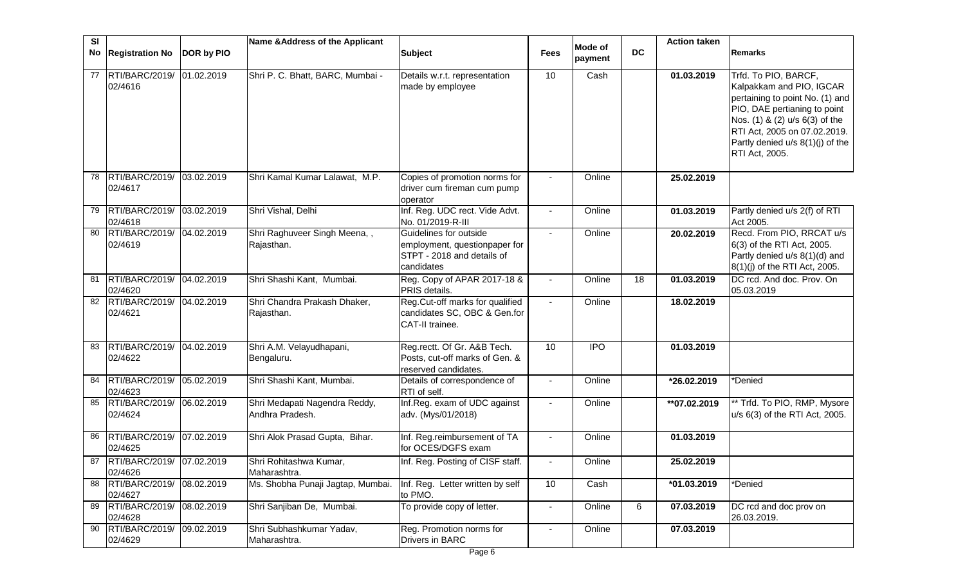| SI |                                         |            | Name & Address of the Applicant                  |                                                                                                     |                |                    |           | <b>Action taken</b> |                                                                                                                                                                                                                                             |
|----|-----------------------------------------|------------|--------------------------------------------------|-----------------------------------------------------------------------------------------------------|----------------|--------------------|-----------|---------------------|---------------------------------------------------------------------------------------------------------------------------------------------------------------------------------------------------------------------------------------------|
|    | No Registration No                      | DOR by PIO |                                                  | <b>Subject</b>                                                                                      | <b>Fees</b>    | Mode of<br>payment | <b>DC</b> |                     | <b>Remarks</b>                                                                                                                                                                                                                              |
| 77 | RTI/BARC/2019/ 01.02.2019<br>02/4616    |            | Shri P. C. Bhatt, BARC, Mumbai -                 | Details w.r.t. representation<br>made by employee                                                   | 10             | Cash               |           | 01.03.2019          | Trfd. To PIO, BARCF,<br>Kalpakkam and PIO, IGCAR<br>pertaining to point No. (1) and<br>PIO, DAE pertianing to point<br>Nos. (1) & (2) u/s 6(3) of the<br>RTI Act, 2005 on 07.02.2019.<br>Partly denied u/s 8(1)(j) of the<br>RTI Act, 2005. |
| 78 | RTI/BARC/2019/ 03.02.2019<br>02/4617    |            | Shri Kamal Kumar Lalawat, M.P.                   | Copies of promotion norms for<br>driver cum fireman cum pump<br>operator                            |                | Online             |           | 25.02.2019          |                                                                                                                                                                                                                                             |
| 79 | RTI/BARC/2019/ 03.02.2019<br>02/4618    |            | Shri Vishal, Delhi                               | Inf. Reg. UDC rect. Vide Advt.<br>No. 01/2019-R-III                                                 | $\blacksquare$ | Online             |           | 01.03.2019          | Partly denied u/s 2(f) of RTI<br>Act 2005.                                                                                                                                                                                                  |
| 80 | RTI/BARC/2019/ 04.02.2019<br>02/4619    |            | Shri Raghuveer Singh Meena,,<br>Rajasthan.       | Guidelines for outside<br>employment, questionpaper for<br>STPT - 2018 and details of<br>candidates | $\blacksquare$ | Online             |           | 20.02.2019          | Recd. From PIO, RRCAT u/s<br>6(3) of the RTI Act, 2005.<br>Partly denied u/s 8(1)(d) and<br>8(1)(j) of the RTI Act, 2005.                                                                                                                   |
| 81 | RTI/BARC/2019/<br>02/4620               | 04.02.2019 | Shri Shashi Kant, Mumbai.                        | Reg. Copy of APAR 2017-18 &<br>PRIS details.                                                        | $\blacksquare$ | Online             | 18        | 01.03.2019          | DC rcd. And doc. Prov. On<br>05.03.2019                                                                                                                                                                                                     |
| 82 | RTI/BARC/2019/ 04.02.2019<br>02/4621    |            | Shri Chandra Prakash Dhaker,<br>Rajasthan.       | Reg.Cut-off marks for qualified<br>candidates SC, OBC & Gen.for<br>CAT-II trainee.                  | $\blacksquare$ | Online             |           | 18.02.2019          |                                                                                                                                                                                                                                             |
| 83 | RTI/BARC/2019/ 04.02.2019<br>02/4622    |            | Shri A.M. Velayudhapani,<br>Bengaluru.           | Reg.rectt. Of Gr. A&B Tech.<br>Posts, cut-off marks of Gen. &<br>reserved candidates.               | 10             | <b>IPO</b>         |           | 01.03.2019          |                                                                                                                                                                                                                                             |
| 84 | RTI/BARC/2019/<br>02/4623               | 05.02.2019 | Shri Shashi Kant, Mumbai.                        | Details of correspondence of<br>RTI of self.                                                        | $\blacksquare$ | Online             |           | *26.02.2019         | *Denied                                                                                                                                                                                                                                     |
| 85 | RTI/BARC/2019/ 06.02.2019<br>02/4624    |            | Shri Medapati Nagendra Reddy,<br>Andhra Pradesh. | Inf.Reg. exam of UDC against<br>adv. (Mys/01/2018)                                                  |                | Online             |           | **07.02.2019        | ** Trfd. To PIO, RMP, Mysore<br>u/s 6(3) of the RTI Act, 2005.                                                                                                                                                                              |
| 86 | RTI/BARC/2019/ 07.02.2019<br>02/4625    |            | Shri Alok Prasad Gupta, Bihar.                   | Inf. Reg.reimbursement of TA<br>for OCES/DGFS exam                                                  |                | Online             |           | 01.03.2019          |                                                                                                                                                                                                                                             |
|    | 87 RTI/BARC/2019/ 07.02.2019<br>02/4626 |            | Shri Rohitashwa Kumar,<br>Maharashtra.           | Inf. Reg. Posting of CISF staff.                                                                    |                | Online             |           | 25.02.2019          |                                                                                                                                                                                                                                             |
| 88 | RTI/BARC/2019/<br>02/4627               | 08.02.2019 | Ms. Shobha Punaji Jagtap, Mumbai.                | Inf. Reg. Letter written by self<br>to PMO.                                                         | 10             | Cash               |           | *01.03.2019         | *Denied                                                                                                                                                                                                                                     |
| 89 | RTI/BARC/2019/<br>02/4628               | 08.02.2019 | Shri Sanjiban De, Mumbai.                        | To provide copy of letter.                                                                          |                | Online             | 6         | 07.03.2019          | DC rcd and doc prov on<br>26.03.2019.                                                                                                                                                                                                       |
| 90 | RTI/BARC/2019/<br>02/4629               | 09.02.2019 | Shri Subhashkumar Yadav,<br>Maharashtra.         | Reg. Promotion norms for<br><b>Drivers in BARC</b>                                                  |                | Online             |           | 07.03.2019          |                                                                                                                                                                                                                                             |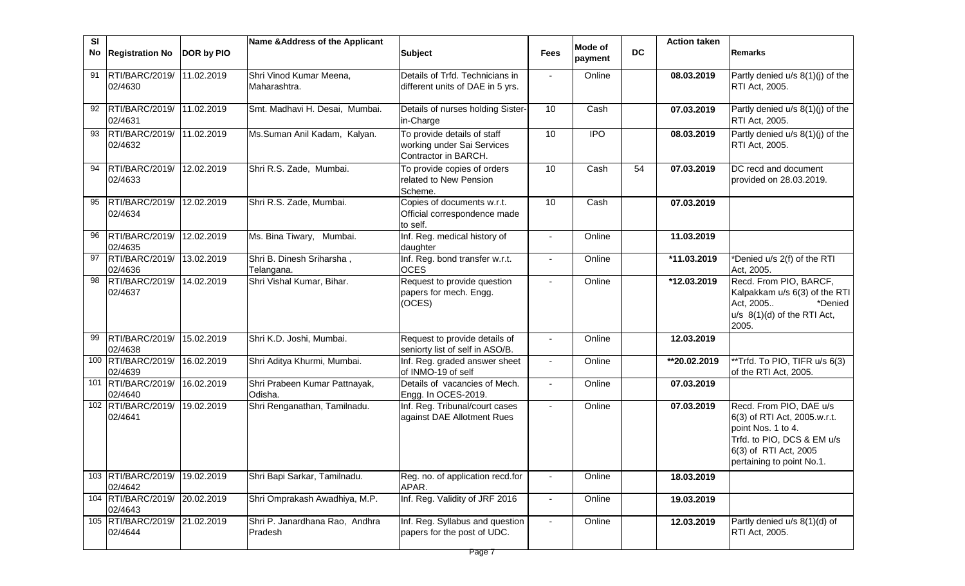| <b>SI</b><br>No | <b>Registration No</b>                   | DOR by PIO | Name & Address of the Applicant           | <b>Subject</b>                                                                    | <b>Fees</b>    | Mode of    | <b>DC</b> | <b>Action taken</b> | <b>Remarks</b>                                                                                                                                                    |
|-----------------|------------------------------------------|------------|-------------------------------------------|-----------------------------------------------------------------------------------|----------------|------------|-----------|---------------------|-------------------------------------------------------------------------------------------------------------------------------------------------------------------|
|                 |                                          |            |                                           |                                                                                   |                | payment    |           |                     |                                                                                                                                                                   |
|                 | 91   RTI/BARC/2019/<br>02/4630           | 11.02.2019 | Shri Vinod Kumar Meena,<br>Maharashtra.   | Details of Trfd. Technicians in<br>different units of DAE in 5 yrs.               |                | Online     |           | 08.03.2019          | Partly denied u/s 8(1)(j) of the<br>RTI Act, 2005.                                                                                                                |
|                 | 92 RTI/BARC/2019/<br>02/4631             | 11.02.2019 | Smt. Madhavi H. Desai, Mumbai.            | Details of nurses holding Sister-<br>in-Charge                                    | 10             | Cash       |           | 07.03.2019          | Partly denied u/s 8(1)(j) of the<br>RTI Act, 2005.                                                                                                                |
| 93              | RTI/BARC/2019/<br>02/4632                | 11.02.2019 | Ms.Suman Anil Kadam, Kalyan.              | To provide details of staff<br>working under Sai Services<br>Contractor in BARCH. | 10             | <b>IPO</b> |           | 08.03.2019          | Partly denied u/s 8(1)(j) of the<br>RTI Act, 2005.                                                                                                                |
| 94              | RTI/BARC/2019/<br>02/4633                | 12.02.2019 | Shri R.S. Zade, Mumbai.                   | To provide copies of orders<br>related to New Pension<br>Scheme.                  | 10             | Cash       | 54        | 07.03.2019          | DC recd and document<br>provided on 28.03.2019.                                                                                                                   |
| 95              | RTI/BARC/2019/<br>02/4634                | 12.02.2019 | Shri R.S. Zade, Mumbai.                   | Copies of documents w.r.t.<br>Official correspondence made<br>to self.            | 10             | Cash       |           | 07.03.2019          |                                                                                                                                                                   |
| 96              | RTI/BARC/2019/<br>02/4635                | 12.02.2019 | Ms. Bina Tiwary, Mumbai.                  | Inf. Reg. medical history of<br>daughter                                          |                | Online     |           | 11.03.2019          |                                                                                                                                                                   |
|                 | 97 RTI/BARC/2019/<br>02/4636             | 13.02.2019 | Shri B. Dinesh Sriharsha,<br>Telangana.   | Inf. Reg. bond transfer w.r.t.<br><b>OCES</b>                                     |                | Online     |           | *11.03.2019         | *Denied u/s 2(f) of the RTI<br>Act, 2005.                                                                                                                         |
| 98              | RTI/BARC/2019/<br>02/4637                | 14.02.2019 | Shri Vishal Kumar, Bihar.                 | Request to provide question<br>papers for mech. Engg.<br>(OCES)                   |                | Online     |           | *12.03.2019         | Recd. From PIO, BARCF,<br>Kalpakkam u/s 6(3) of the RTI<br>Act, 2005<br>*Denied<br>$u/s$ 8(1)(d) of the RTI Act,<br>2005.                                         |
| 99              | RTI/BARC/2019/<br>02/4638                | 15.02.2019 | Shri K.D. Joshi, Mumbai.                  | Request to provide details of<br>seniorty list of self in ASO/B.                  |                | Online     |           | 12.03.2019          |                                                                                                                                                                   |
|                 | 100 RTI/BARC/2019/<br>02/4639            | 16.02.2019 | Shri Aditya Khurmi, Mumbai.               | Inf. Reg. graded answer sheet<br>of INMO-19 of self                               | $\sim$         | Online     |           | **20.02.2019        | **Trfd. To PIO, TIFR u/s 6(3)<br>of the RTI Act, 2005.                                                                                                            |
|                 | 101 RTI/BARC/2019/<br>02/4640            | 16.02.2019 | Shri Prabeen Kumar Pattnayak,<br>Odisha.  | Details of vacancies of Mech.<br>Engg. In OCES-2019.                              | $\blacksquare$ | Online     |           | 07.03.2019          |                                                                                                                                                                   |
|                 | 102 RTI/BARC/2019/<br>02/4641            | 19.02.2019 | Shri Renganathan, Tamilnadu.              | Inf. Reg. Tribunal/court cases<br>against DAE Allotment Rues                      | $\blacksquare$ | Online     |           | 07.03.2019          | Recd. From PIO, DAE u/s<br>6(3) of RTI Act, 2005.w.r.t.<br>point Nos. 1 to 4.<br>Trfd. to PIO, DCS & EM u/s<br>6(3) of RTI Act, 2005<br>pertaining to point No.1. |
|                 | 103 RTI/BARC/2019/<br>02/4642            | 19.02.2019 | Shri Bapi Sarkar, Tamilnadu.              | Reg. no. of application recd.for<br>APAR.                                         |                | Online     |           | 18.03.2019          |                                                                                                                                                                   |
|                 | 104 RTI/BARC/2019/<br>02/4643            | 20.02.2019 | Shri Omprakash Awadhiya, M.P.             | Inf. Reg. Validity of JRF 2016                                                    |                | Online     |           | 19.03.2019          |                                                                                                                                                                   |
|                 | 105 RTI/BARC/2019/ 21.02.2019<br>02/4644 |            | Shri P. Janardhana Rao, Andhra<br>Pradesh | Inf. Reg. Syllabus and question<br>papers for the post of UDC.                    |                | Online     |           | 12.03.2019          | Partly denied u/s 8(1)(d) of<br>RTI Act, 2005.                                                                                                                    |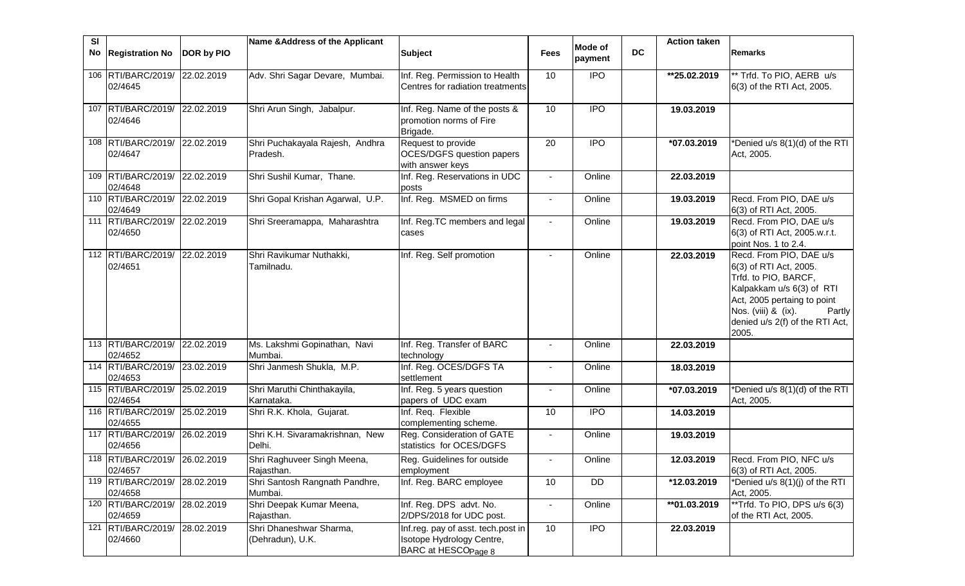| <b>SI</b> |                                          |            | Name & Address of the Applicant           |                                                              |                 | <b>Mode of</b> |           | <b>Action taken</b> |                                                      |
|-----------|------------------------------------------|------------|-------------------------------------------|--------------------------------------------------------------|-----------------|----------------|-----------|---------------------|------------------------------------------------------|
|           | No Registration No                       | DOR by PIO |                                           | <b>Subject</b>                                               | <b>Fees</b>     | payment        | <b>DC</b> |                     | Remarks                                              |
|           | 106 RTI/BARC/2019/ 22.02.2019            |            | Adv. Shri Sagar Devare, Mumbai.           | Inf. Reg. Permission to Health                               | 10              | <b>IPO</b>     |           | **25.02.2019        | ** Trfd. To PIO, AERB u/s                            |
|           | 02/4645                                  |            |                                           | Centres for radiation treatments                             |                 |                |           |                     | 6(3) of the RTI Act, 2005.                           |
|           | 107 RTI/BARC/2019/ 22.02.2019            |            | Shri Arun Singh, Jabalpur.                | Inf. Reg. Name of the posts &                                | 10              | <b>IPO</b>     |           | 19.03.2019          |                                                      |
|           | 02/4646                                  |            |                                           | promotion norms of Fire<br>Brigade.                          |                 |                |           |                     |                                                      |
|           | 108 RTI/BARC/2019/ 22.02.2019            |            | Shri Puchakayala Rajesh, Andhra           | Request to provide                                           | $\overline{20}$ | $\overline{1}$ |           | *07.03.2019         | *Denied u/s 8(1)(d) of the RTI                       |
|           | 02/4647                                  |            | Pradesh.                                  | <b>OCES/DGFS question papers</b><br>with answer keys         |                 |                |           |                     | Act, 2005.                                           |
|           | 109 RTI/BARC/2019/ 22.02.2019            |            | Shri Sushil Kumar, Thane.                 | Inf. Reg. Reservations in UDC                                | $\sim$          | Online         |           | 22.03.2019          |                                                      |
|           | 02/4648                                  |            |                                           | posts                                                        |                 |                |           |                     |                                                      |
|           | 110 RTI/BARC/2019/ 22.02.2019<br>02/4649 |            | Shri Gopal Krishan Agarwal, U.P.          | Inf. Reg. MSMED on firms                                     | $\blacksquare$  | Online         |           | 19.03.2019          | Recd. From PIO, DAE u/s<br>6(3) of RTI Act, 2005.    |
|           | 111 RTI/BARC/2019/                       | 22.02.2019 | Shri Sreeramappa, Maharashtra             | Inf. Reg.TC members and legal                                |                 | Online         |           | 19.03.2019          | Recd. From PIO, DAE u/s                              |
|           | 02/4650                                  |            |                                           | cases                                                        |                 |                |           |                     | 6(3) of RTI Act, 2005.w.r.t.<br>point Nos. 1 to 2.4. |
|           | 112 RTI/BARC/2019/ 22.02.2019            |            | Shri Ravikumar Nuthakki,                  | Inf. Reg. Self promotion                                     |                 | Online         |           | 22.03.2019          | Recd. From PIO, DAE u/s                              |
|           | 02/4651                                  |            | Tamilnadu.                                |                                                              |                 |                |           |                     | 6(3) of RTI Act, 2005.                               |
|           |                                          |            |                                           |                                                              |                 |                |           |                     | Trfd. to PIO, BARCF,<br>Kalpakkam u/s 6(3) of RTI    |
|           |                                          |            |                                           |                                                              |                 |                |           |                     | Act, 2005 pertaing to point                          |
|           |                                          |            |                                           |                                                              |                 |                |           |                     | Nos. (viii) & (ix).<br>Partly                        |
|           |                                          |            |                                           |                                                              |                 |                |           |                     | denied u/s 2(f) of the RTI Act,                      |
|           |                                          |            |                                           |                                                              |                 |                |           |                     | 2005.                                                |
|           | 113 RTI/BARC/2019/ 22.02.2019            |            | Ms. Lakshmi Gopinathan, Navi              | Inf. Reg. Transfer of BARC                                   |                 | Online         |           | 22.03.2019          |                                                      |
|           | 02/4652                                  |            | Mumbai.                                   | technology                                                   |                 |                |           |                     |                                                      |
|           | 114 RTI/BARC/2019/ 23.02.2019<br>02/4653 |            | Shri Janmesh Shukla, M.P.                 | Inf. Reg. OCES/DGFS TA<br>settlement                         | $\blacksquare$  | Online         |           | 18.03.2019          |                                                      |
|           | 115 RTI/BARC/2019/                       | 25.02.2019 | Shri Maruthi Chinthakayila,               | Inf. Reg. 5 years question                                   | $\blacksquare$  | Online         |           | *07.03.2019         | *Denied u/s 8(1)(d) of the RTI                       |
|           | 02/4654                                  |            | Karnataka.                                | papers of UDC exam                                           |                 |                |           |                     | Act, 2005.                                           |
|           | 116 RTI/BARC/2019/ 25.02.2019<br>02/4655 |            | Shri R.K. Khola, Gujarat.                 | Inf. Req. Flexible<br>complementing scheme.                  | 10              | $\overline{1}$ |           | 14.03.2019          |                                                      |
|           | 117 RTI/BARC/2019/                       | 26.02.2019 | Shri K.H. Sivaramakrishnan, New           | Reg. Consideration of GATE                                   | $\blacksquare$  | Online         |           | 19.03.2019          |                                                      |
|           | 02/4656                                  |            | Delhi.                                    | statistics for OCES/DGFS                                     |                 |                |           |                     |                                                      |
|           | 118 RTI/BARC/2019/ 26.02.2019            |            | Shri Raghuveer Singh Meena,               | Reg. Guidelines for outside                                  |                 | Online         |           | 12.03.2019          | Recd. From PIO, NFC u/s                              |
|           | 02/4657                                  |            | Rajasthan.                                | employment                                                   |                 |                |           |                     | 6(3) of RTI Act, 2005.                               |
|           | 119 RTI/BARC/2019/<br>02/4658            | 28.02.2019 | Shri Santosh Rangnath Pandhre,<br>Mumbai. | Inf. Reg. BARC employee                                      | 10              | <b>DD</b>      |           | *12.03.2019         | *Denied u/s 8(1)(j) of the RTI<br>Act, 2005.         |
|           | 120 RTI/BARC/2019/                       | 28.02.2019 | Shri Deepak Kumar Meena,                  | Inf. Reg. DPS advt. No.                                      | $\blacksquare$  | Online         |           | **01.03.2019        | **Trfd. To PIO, DPS u/s 6(3)                         |
|           | 02/4659                                  |            | Rajasthan.                                | 2/DPS/2018 for UDC post.                                     |                 |                |           |                     | of the RTI Act, 2005.                                |
|           | 121 RTI/BARC/2019/ 28.02.2019            |            | Shri Dhaneshwar Sharma,                   | Inf.reg. pay of asst. tech.post in                           | 10              | <b>IPO</b>     |           | 22.03.2019          |                                                      |
|           | 02/4660                                  |            | (Dehradun), U.K.                          | Isotope Hydrology Centre,<br>BARC at HESCO <sub>Page 8</sub> |                 |                |           |                     |                                                      |
|           |                                          |            |                                           |                                                              |                 |                |           |                     |                                                      |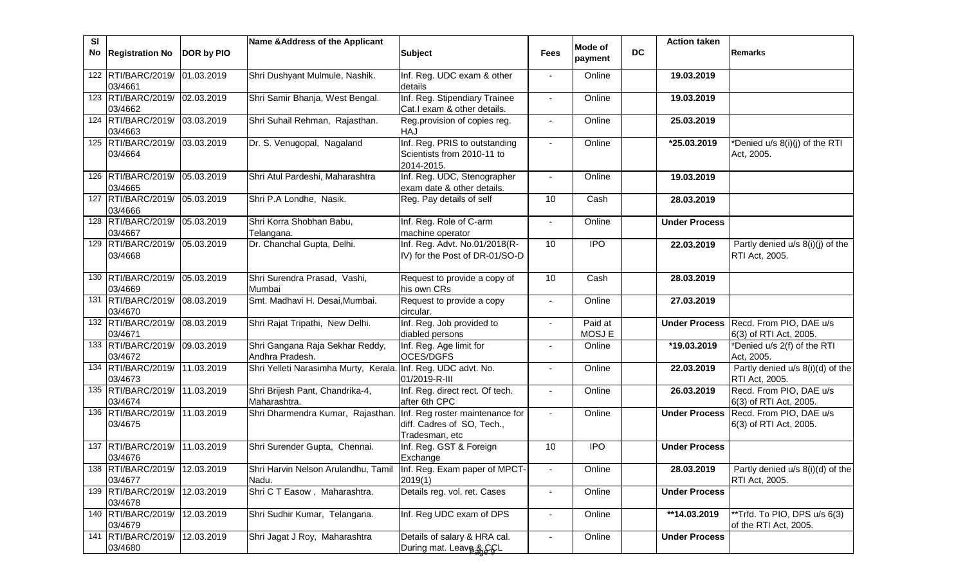| <b>SI</b> | No Registration No                       | DOR by PIO | Name & Address of the Applicant                                            | <b>Subject</b>                                                                  | <b>Fees</b>              | <b>Mode of</b><br>payment | <b>DC</b> | <b>Action taken</b>  | <b>Remarks</b>                                         |
|-----------|------------------------------------------|------------|----------------------------------------------------------------------------|---------------------------------------------------------------------------------|--------------------------|---------------------------|-----------|----------------------|--------------------------------------------------------|
|           | 122 RTI/BARC/2019/ 01.03.2019<br>03/4661 |            | Shri Dushyant Mulmule, Nashik.                                             | Inf. Reg. UDC exam & other<br>details                                           |                          | Online                    |           | 19.03.2019           |                                                        |
|           | 123 RTI/BARC/2019/ 02.03.2019<br>03/4662 |            | Shri Samir Bhanja, West Bengal.                                            | Inf. Reg. Stipendiary Trainee<br>Cat.I exam & other details.                    |                          | Online                    |           | 19.03.2019           |                                                        |
|           | 124 RTI/BARC/2019/ 03.03.2019<br>03/4663 |            | Shri Suhail Rehman, Rajasthan.                                             | Reg.provision of copies reg.<br><b>HAJ</b>                                      |                          | Online                    |           | 25.03.2019           |                                                        |
|           | 125 RTI/BARC/2019/ 03.03.2019<br>03/4664 |            | Dr. S. Venugopal, Nagaland                                                 | Inf. Reg. PRIS to outstanding<br>Scientists from 2010-11 to<br>2014-2015.       | $\sim$                   | Online                    |           | *25.03.2019          | *Denied u/s 8(i)(j) of the RTI<br>Act, 2005.           |
|           | 126 RTI/BARC/2019/ 05.03.2019<br>03/4665 |            | Shri Atul Pardeshi, Maharashtra                                            | Inf. Reg. UDC, Stenographer<br>exam date & other details.                       | $\sim$                   | Online                    |           | 19.03.2019           |                                                        |
|           | 127 RTI/BARC/2019/ 05.03.2019<br>03/4666 |            | Shri P.A Londhe, Nasik.                                                    | Reg. Pay details of self                                                        | 10                       | Cash                      |           | 28.03.2019           |                                                        |
|           | 128 RTI/BARC/2019/ 05.03.2019<br>03/4667 |            | Shri Korra Shobhan Babu,<br>Telangana.                                     | Inf. Reg. Role of C-arm<br>machine operator                                     | $\blacksquare$           | Online                    |           | <b>Under Process</b> |                                                        |
|           | 129 RTI/BARC/2019/ 05.03.2019<br>03/4668 |            | Dr. Chanchal Gupta, Delhi.                                                 | Inf. Reg. Advt. No.01/2018(R-<br>IV) for the Post of DR-01/SO-D                 | 10                       | $\overline{1}$            |           | 22.03.2019           | Partly denied $u/s$ $8(i)(j)$ of the<br>RTI Act, 2005. |
|           | 130 RTI/BARC/2019/ 05.03.2019<br>03/4669 |            | Shri Surendra Prasad, Vashi,<br>Mumbai                                     | Request to provide a copy of<br>his own CRs                                     | 10                       | Cash                      |           | 28.03.2019           |                                                        |
|           | 131 RTI/BARC/2019/<br>03/4670            | 08.03.2019 | Smt. Madhavi H. Desai, Mumbai.                                             | Request to provide a copy<br>circular.                                          | $\blacksquare$           | Online                    |           | 27.03.2019           |                                                        |
|           | 132 RTI/BARC/2019/<br>03/4671            | 08.03.2019 | Shri Rajat Tripathi, New Delhi.                                            | Inf. Reg. Job provided to<br>diabled persons                                    |                          | Paid at<br>MOSJ E         |           | <b>Under Process</b> | Recd. From PIO, DAE u/s<br>6(3) of RTI Act, 2005.      |
|           | 133 RTI/BARC/2019/ 09.03.2019<br>03/4672 |            | Shri Gangana Raja Sekhar Reddy,<br>Andhra Pradesh.                         | Inf. Reg. Age limit for<br>OCES/DGFS                                            |                          | Online                    |           | *19.03.2019          | *Denied u/s 2(f) of the RTI<br>Act, 2005.              |
|           | 134 RTI/BARC/2019/ 11.03.2019<br>03/4673 |            | Shri Yelleti Narasimha Murty, Kerala. Inf. Reg. UDC advt. No.              | 01/2019-R-III                                                                   |                          | Online                    |           | 22.03.2019           | Partly denied u/s 8(i)(d) of the<br>RTI Act, 2005.     |
|           | 135 RTI/BARC/2019/ 11.03.2019<br>03/4674 |            | Shri Brijesh Pant, Chandrika-4,<br>Maharashtra.                            | Inf. Reg. direct rect. Of tech.<br>after 6th CPC                                |                          | Online                    |           | 26.03.2019           | Recd. From PIO, DAE u/s<br>6(3) of RTI Act, 2005.      |
|           | 136 RTI/BARC/2019/ 11.03.2019<br>03/4675 |            | Shri Dharmendra Kumar, Rajasthan.                                          | Inf. Reg roster maintenance for<br>diff. Cadres of SO, Tech.,<br>Tradesman, etc | $\sim$                   | Online                    |           | <b>Under Process</b> | Recd. From PIO, DAE u/s<br>6(3) of RTI Act, 2005.      |
|           | 137 RTI/BARC/2019/ 11.03.2019<br>03/4676 |            | Shri Surender Gupta, Chennai.                                              | Inf. Reg. GST & Foreign<br>Exchange                                             | 10                       | <b>IPO</b>                |           | <b>Under Process</b> |                                                        |
|           | 138 RTI/BARC/2019/ 12.03.2019<br>03/4677 |            | Shri Harvin Nelson Arulandhu, Tamil Inf. Reg. Exam paper of MPCT-<br>Nadu. | 2019(1)                                                                         |                          | Online                    |           | 28.03.2019           | Partly denied u/s 8(i)(d) of the<br>RTI Act, 2005.     |
|           | 139 RTI/BARC/2019/<br>03/4678            | 12.03.2019 | Shri C T Easow, Maharashtra.                                               | Details reg. vol. ret. Cases                                                    | $\blacksquare$           | Online                    |           | <b>Under Process</b> |                                                        |
|           | 140 RTI/BARC/2019/<br>03/4679            | 12.03.2019 | Shri Sudhir Kumar, Telangana.                                              | Inf. Reg UDC exam of DPS                                                        | $\overline{\phantom{a}}$ | Online                    |           | **14.03.2019         | **Trfd. To PIO, DPS u/s 6(3)<br>of the RTI Act, 2005.  |
|           | 141 RTI/BARC/2019/<br>03/4680            | 12.03.2019 | Shri Jagat J Roy, Maharashtra                                              | Details of salary & HRA cal.<br>During mat. Leave & CCL                         |                          | Online                    |           | <b>Under Process</b> |                                                        |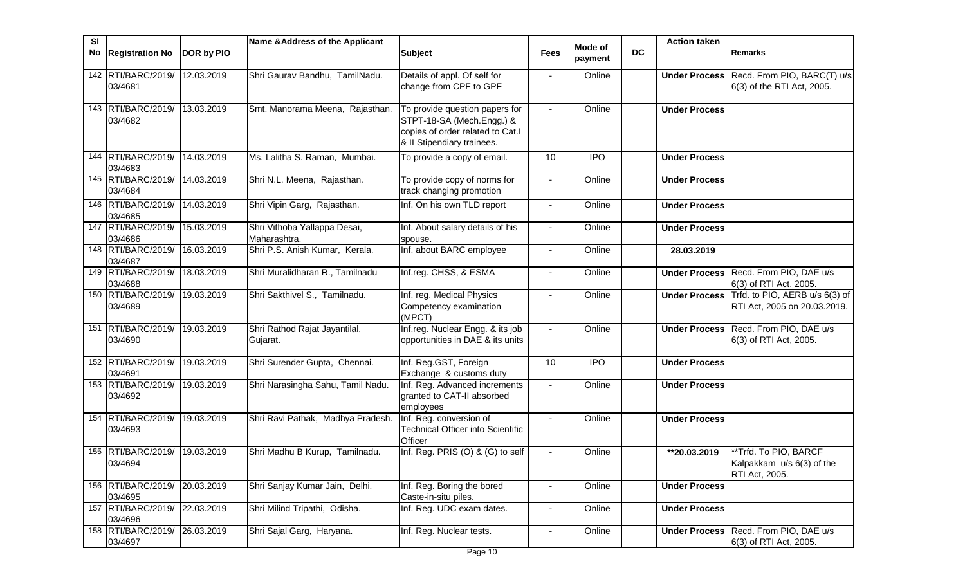| SI |                               |            | Name & Address of the Applicant              |                                                                                                                               |                |                    |           | <b>Action taken</b>      |                                                                      |
|----|-------------------------------|------------|----------------------------------------------|-------------------------------------------------------------------------------------------------------------------------------|----------------|--------------------|-----------|--------------------------|----------------------------------------------------------------------|
| No | <b>Registration No</b>        | DOR by PIO |                                              | <b>Subject</b>                                                                                                                | <b>Fees</b>    | Mode of<br>payment | <b>DC</b> |                          | Remarks                                                              |
|    | 142 RTI/BARC/2019/<br>03/4681 | 12.03.2019 | Shri Gaurav Bandhu, TamilNadu.               | Details of appl. Of self for<br>change from CPF to GPF                                                                        |                | Online             |           | <b>Under Process</b>     | Recd. From PIO, BARC(T) u/s<br>6(3) of the RTI Act, 2005.            |
|    | 143 RTI/BARC/2019/<br>03/4682 | 13.03.2019 | Smt. Manorama Meena, Rajasthan.              | To provide question papers for<br>STPT-18-SA (Mech.Engg.) &<br>copies of order related to Cat.I<br>& II Stipendiary trainees. |                | Online             |           | <b>Under Process</b>     |                                                                      |
|    | 144 RTI/BARC/2019/<br>03/4683 | 14.03.2019 | Ms. Lalitha S. Raman, Mumbai.                | To provide a copy of email.                                                                                                   | 10             | <b>IPO</b>         |           | <b>Under Process</b>     |                                                                      |
|    | 145 RTI/BARC/2019/<br>03/4684 | 14.03.2019 | Shri N.L. Meena, Rajasthan.                  | To provide copy of norms for<br>track changing promotion                                                                      | $\sim$         | Online             |           | <b>Under Process</b>     |                                                                      |
|    | 146 RTI/BARC/2019/<br>03/4685 | 14.03.2019 | Shri Vipin Garg, Rajasthan.                  | Inf. On his own TLD report                                                                                                    | $\blacksquare$ | Online             |           | <b>Under Process</b>     |                                                                      |
|    | 147 RTI/BARC/2019/<br>03/4686 | 15.03.2019 | Shri Vithoba Yallappa Desai,<br>Maharashtra. | Inf. About salary details of his<br>spouse.                                                                                   | $\blacksquare$ | Online             |           | <b>Under Process</b>     |                                                                      |
|    | 148 RTI/BARC/2019/<br>03/4687 | 16.03.2019 | Shri P.S. Anish Kumar, Kerala.               | Inf. about BARC employee                                                                                                      | $\blacksquare$ | Online             |           | 28.03.2019               |                                                                      |
|    | 149 RTI/BARC/2019/<br>03/4688 | 18.03.2019 | Shri Muralidharan R., Tamilnadu              | Inf.reg. CHSS, & ESMA                                                                                                         | $\blacksquare$ | Online             |           | <b>Under Process</b>     | Recd. From PIO, DAE u/s<br>6(3) of RTI Act, 2005.                    |
|    | 150 RTI/BARC/2019/<br>03/4689 | 19.03.2019 | Shri Sakthivel S., Tamilnadu.                | Inf. reg. Medical Physics<br>Competency examination<br>(MPCT)                                                                 | $\blacksquare$ | Online             |           | <b>Under Process</b>     | Trfd. to PIO, AERB u/s 6(3) of<br>RTI Act, 2005 on 20.03.2019.       |
|    | 151 RTI/BARC/2019/<br>03/4690 | 19.03.2019 | Shri Rathod Rajat Jayantilal,<br>Gujarat.    | Inf.reg. Nuclear Engg. & its job<br>opportunities in DAE & its units                                                          | $\sim$         | Online             |           | <b>Under Process</b>     | Recd. From PIO, DAE u/s<br>6(3) of RTI Act, 2005.                    |
|    | 152 RTI/BARC/2019/<br>03/4691 | 19.03.2019 | Shri Surender Gupta, Chennai.                | Inf. Reg.GST, Foreign<br>Exchange & customs duty                                                                              | 10             | <b>IPO</b>         |           | <b>Under Process</b>     |                                                                      |
|    | 153 RTI/BARC/2019/<br>03/4692 | 19.03.2019 | Shri Narasingha Sahu, Tamil Nadu.            | Inf. Reg. Advanced increments<br>granted to CAT-II absorbed<br>employees                                                      |                | Online             |           | <b>Under Process</b>     |                                                                      |
|    | 154 RTI/BARC/2019/<br>03/4693 | 19.03.2019 | Shri Ravi Pathak, Madhya Pradesh.            | Inf. Reg. conversion of<br><b>Technical Officer into Scientific</b><br>Officer                                                |                | Online             |           | <b>Under Process</b>     |                                                                      |
|    | 155 RTI/BARC/2019/<br>03/4694 | 19.03.2019 | Shri Madhu B Kurup, Tamilnadu.               | Inf. Reg. PRIS (O) & (G) to self                                                                                              |                | Online             |           | $\overline{120.03.2019}$ | **Trfd. To PIO, BARCF<br>Kalpakkam u/s 6(3) of the<br>RTI Act, 2005. |
|    | 156 RTI/BARC/2019/<br>03/4695 | 20.03.2019 | Shri Sanjay Kumar Jain, Delhi.               | Inf. Reg. Boring the bored<br>Caste-in-situ piles.                                                                            | $\blacksquare$ | Online             |           | <b>Under Process</b>     |                                                                      |
|    | 157 RTI/BARC/2019/<br>03/4696 | 22.03.2019 | Shri Milind Tripathi, Odisha.                | Inf. Reg. UDC exam dates.                                                                                                     | $\blacksquare$ | Online             |           | <b>Under Process</b>     |                                                                      |
|    | 158 RTI/BARC/2019/<br>03/4697 | 26.03.2019 | Shri Sajal Garg, Haryana.                    | Inf. Reg. Nuclear tests.                                                                                                      | $\blacksquare$ | Online             |           | <b>Under Process</b>     | Recd. From PIO, DAE u/s<br>6(3) of RTI Act, 2005.                    |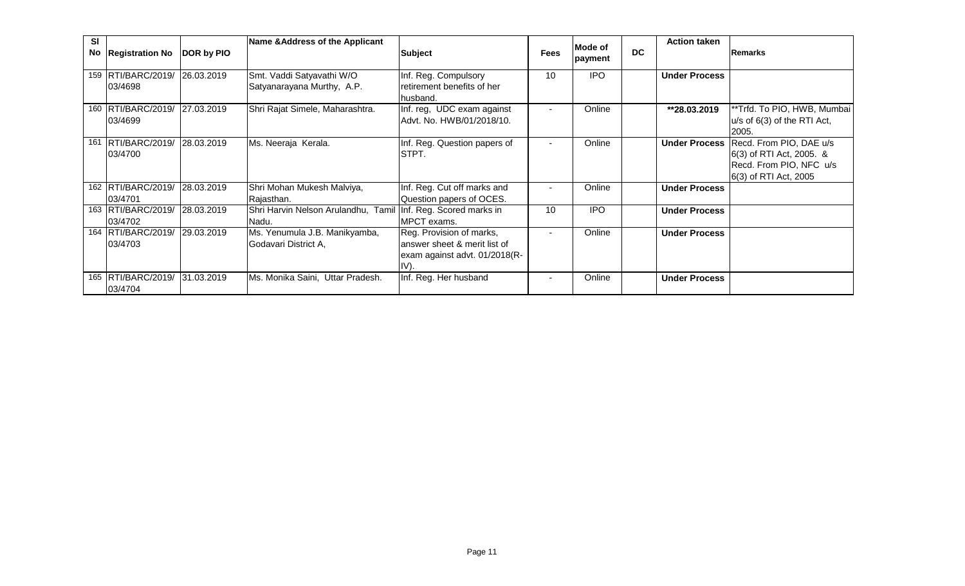| SI | No Registration No              | DOR by PIO | Name & Address of the Applicant                                        | <b>Subject</b>                                                                                    | <b>Fees</b> | Mode of<br>payment | <b>DC</b> | <b>Action taken</b>  | <b>Remarks</b>                                                                                          |
|----|---------------------------------|------------|------------------------------------------------------------------------|---------------------------------------------------------------------------------------------------|-------------|--------------------|-----------|----------------------|---------------------------------------------------------------------------------------------------------|
|    | 159 RTI/BARC/2019/<br>03/4698   | 26.03.2019 | Smt. Vaddi Satyavathi W/O<br>Satyanarayana Murthy, A.P.                | Inf. Reg. Compulsory<br>retirement benefits of her<br>husband.                                    | 10          | <b>IPO</b>         |           | <b>Under Process</b> |                                                                                                         |
|    | 160 RTI/BARC/2019/<br>03/4699   | 27.03.2019 | Shri Rajat Simele, Maharashtra.                                        | Inf. reg, UDC exam against<br>Advt. No. HWB/01/2018/10.                                           |             | Online             |           | **28.03.2019         | **Trfd. To PIO, HWB, Mumbai<br>u/s of 6(3) of the RTI Act,<br>2005.                                     |
|    | 161 RTI/BARC/2019/<br>03/4700   | 28.03.2019 | Ms. Neeraja Kerala.                                                    | Inf. Reg. Question papers of<br>STPT.                                                             |             | Online             |           | <b>Under Process</b> | Recd. From PIO, DAE u/s<br>6(3) of RTI Act, 2005. &<br>Recd. From PIO, NFC u/s<br>6(3) of RTI Act, 2005 |
|    | 162 RTI/BARC/2019/<br>03/4701   | 28.03.2019 | Shri Mohan Mukesh Malviya,<br>Rajasthan.                               | Inf. Reg. Cut off marks and<br>Question papers of OCES.                                           |             | Online             |           | <b>Under Process</b> |                                                                                                         |
|    | 163 RTI/BARC/2019/<br>03/4702   | 28.03.2019 | Shri Harvin Nelson Arulandhu, Tamil Inf. Reg. Scored marks in<br>Nadu. | MPCT exams.                                                                                       | 10          | <b>IPO</b>         |           | <b>Under Process</b> |                                                                                                         |
|    | 164 RTI/BARC/2019/<br>03/4703   | 29.03.2019 | Ms. Yenumula J.B. Manikyamba,<br>Godavari District A,                  | Reg. Provision of marks,<br>answer sheet & merit list of<br>exam against advt. 01/2018(R-<br>IV). |             | Online             |           | <b>Under Process</b> |                                                                                                         |
|    | 165   RTI/BARC/2019/<br>03/4704 | 31.03.2019 | Ms. Monika Saini, Uttar Pradesh.                                       | Inf. Reg. Her husband                                                                             |             | Online             |           | <b>Under Process</b> |                                                                                                         |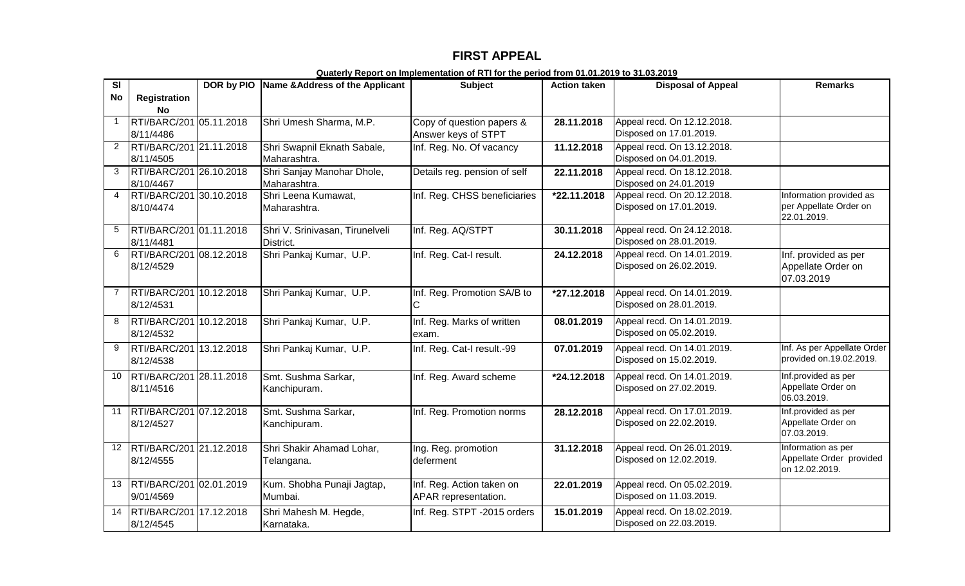## **FIRST APPEAL**

| $\overline{\mathbf{s}}$ |                                      | DOR by PIO Name & Address of the Applicant   | <b>Subject</b>                                    | <b>Action taken</b> | <b>Disposal of Appeal</b>                              | <b>Remarks</b>                                                   |
|-------------------------|--------------------------------------|----------------------------------------------|---------------------------------------------------|---------------------|--------------------------------------------------------|------------------------------------------------------------------|
| No                      | <b>Registration</b><br><b>No</b>     |                                              |                                                   |                     |                                                        |                                                                  |
| $\mathbf{1}$            | RTI/BARC/201 05.11.2018<br>8/11/4486 | Shri Umesh Sharma, M.P.                      | Copy of question papers &<br>Answer keys of STPT  | 28.11.2018          | Appeal recd. On 12.12.2018.<br>Disposed on 17.01.2019. |                                                                  |
| $\overline{2}$          | RTI/BARC/201 21.11.2018<br>8/11/4505 | Shri Swapnil Eknath Sabale,<br>Maharashtra.  | Inf. Reg. No. Of vacancy                          | 11.12.2018          | Appeal recd. On 13.12.2018.<br>Disposed on 04.01.2019. |                                                                  |
| 3                       | RTI/BARC/201 26.10.2018<br>8/10/4467 | Shri Sanjay Manohar Dhole,<br>Maharashtra.   | Details reg. pension of self                      | 22.11.2018          | Appeal recd. On 18.12.2018.<br>Disposed on 24.01.2019  |                                                                  |
| $\overline{4}$          | RTI/BARC/201 30.10.2018<br>8/10/4474 | Shri Leena Kumawat,<br>Maharashtra.          | Inf. Reg. CHSS beneficiaries                      | $*22.11.2018$       | Appeal recd. On 20.12.2018.<br>Disposed on 17.01.2019. | Information provided as<br>per Appellate Order on<br>22.01.2019. |
| 5                       | RTI/BARC/201 01.11.2018<br>8/11/4481 | Shri V. Srinivasan, Tirunelveli<br>District. | Inf. Reg. AQ/STPT                                 | 30.11.2018          | Appeal recd. On 24.12.2018.<br>Disposed on 28.01.2019. |                                                                  |
| 6                       | RTI/BARC/201 08.12.2018<br>8/12/4529 | Shri Pankaj Kumar, U.P.                      | Inf. Reg. Cat-I result.                           | 24.12.2018          | Appeal recd. On 14.01.2019.<br>Disposed on 26.02.2019. | Inf. provided as per<br>Appellate Order on<br>07.03.2019         |
|                         | RTI/BARC/201 10.12.2018<br>8/12/4531 | Shri Pankaj Kumar, U.P.                      | Inf. Reg. Promotion SA/B to                       | *27.12.2018         | Appeal recd. On 14.01.2019.<br>Disposed on 28.01.2019. |                                                                  |
| 8                       | RTI/BARC/201 10.12.2018<br>8/12/4532 | Shri Pankaj Kumar, U.P.                      | Inf. Reg. Marks of written<br>exam.               | 08.01.2019          | Appeal recd. On 14.01.2019.<br>Disposed on 05.02.2019. |                                                                  |
| 9                       | RTI/BARC/201 13.12.2018<br>8/12/4538 | Shri Pankaj Kumar, U.P.                      | Inf. Reg. Cat-I result.-99                        | 07.01.2019          | Appeal recd. On 14.01.2019.<br>Disposed on 15.02.2019. | Inf. As per Appellate Order<br>provided on.19.02.2019.           |
| 10                      | RTI/BARC/201 28.11.2018<br>8/11/4516 | Smt. Sushma Sarkar,<br>Kanchipuram.          | Inf. Reg. Award scheme                            | *24.12.2018         | Appeal recd. On 14.01.2019.<br>Disposed on 27.02.2019. | Inf.provided as per<br>Appellate Order on<br>06.03.2019.         |
| 11                      | RTI/BARC/201 07.12.2018<br>8/12/4527 | Smt. Sushma Sarkar,<br>Kanchipuram.          | Inf. Reg. Promotion norms                         | 28.12.2018          | Appeal recd. On 17.01.2019.<br>Disposed on 22.02.2019. | Inf.provided as per<br>Appellate Order on<br>07.03.2019.         |
| 12 <sup>°</sup>         | RTI/BARC/201 21.12.2018<br>8/12/4555 | Shri Shakir Ahamad Lohar,<br>Telangana.      | Ing. Reg. promotion<br>deferment                  | 31.12.2018          | Appeal recd. On 26.01.2019.<br>Disposed on 12.02.2019. | Information as per<br>Appellate Order provided<br>on 12.02.2019. |
| 13                      | RTI/BARC/201 02.01.2019<br>9/01/4569 | Kum. Shobha Punaji Jagtap,<br>Mumbai.        | Inf. Reg. Action taken on<br>APAR representation. | 22.01.2019          | Appeal recd. On 05.02.2019.<br>Disposed on 11.03.2019. |                                                                  |
| 14                      | RTI/BARC/201 17.12.2018<br>8/12/4545 | Shri Mahesh M. Hegde,<br>Karnataka.          | Inf. Reg. STPT -2015 orders                       | 15.01.2019          | Appeal recd. On 18.02.2019.<br>Disposed on 22.03.2019. |                                                                  |

**Quaterly Report on Implementation of RTI for the period from 01.01.2019 to 31.03.2019**